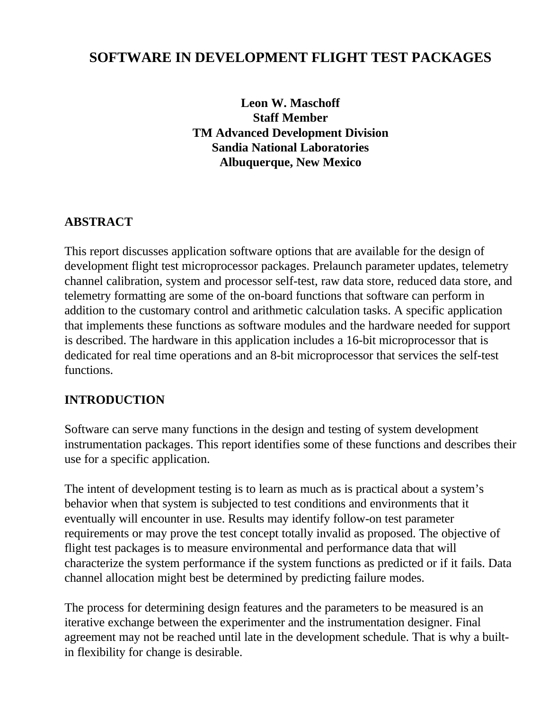# **SOFTWARE IN DEVELOPMENT FLIGHT TEST PACKAGES**

**Leon W. Maschoff Staff Member TM Advanced Development Division Sandia National Laboratories Albuquerque, New Mexico**

### **ABSTRACT**

This report discusses application software options that are available for the design of development flight test microprocessor packages. Prelaunch parameter updates, telemetry channel calibration, system and processor self-test, raw data store, reduced data store, and telemetry formatting are some of the on-board functions that software can perform in addition to the customary control and arithmetic calculation tasks. A specific application that implements these functions as software modules and the hardware needed for support is described. The hardware in this application includes a 16-bit microprocessor that is dedicated for real time operations and an 8-bit microprocessor that services the self-test functions.

#### **INTRODUCTION**

Software can serve many functions in the design and testing of system development instrumentation packages. This report identifies some of these functions and describes their use for a specific application.

The intent of development testing is to learn as much as is practical about a system's behavior when that system is subjected to test conditions and environments that it eventually will encounter in use. Results may identify follow-on test parameter requirements or may prove the test concept totally invalid as proposed. The objective of flight test packages is to measure environmental and performance data that will characterize the system performance if the system functions as predicted or if it fails. Data channel allocation might best be determined by predicting failure modes.

The process for determining design features and the parameters to be measured is an iterative exchange between the experimenter and the instrumentation designer. Final agreement may not be reached until late in the development schedule. That is why a builtin flexibility for change is desirable.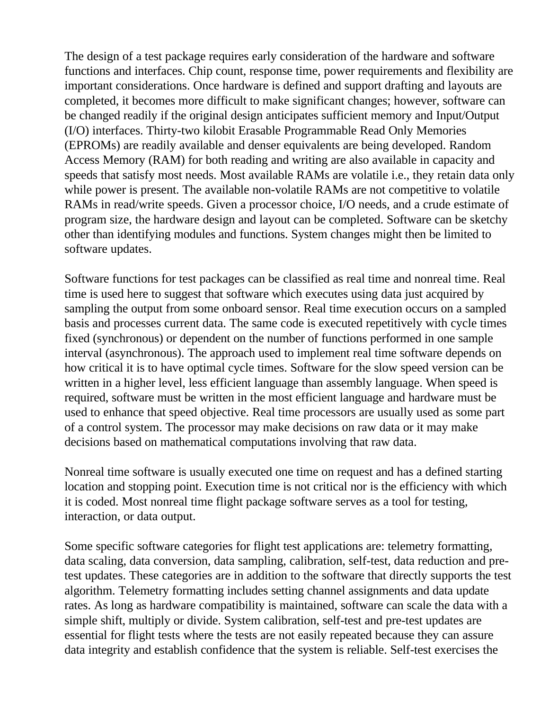The design of a test package requires early consideration of the hardware and software functions and interfaces. Chip count, response time, power requirements and flexibility are important considerations. Once hardware is defined and support drafting and layouts are completed, it becomes more difficult to make significant changes; however, software can be changed readily if the original design anticipates sufficient memory and Input/Output (I/O) interfaces. Thirty-two kilobit Erasable Programmable Read Only Memories (EPROMs) are readily available and denser equivalents are being developed. Random Access Memory (RAM) for both reading and writing are also available in capacity and speeds that satisfy most needs. Most available RAMs are volatile i.e., they retain data only while power is present. The available non-volatile RAMs are not competitive to volatile RAMs in read/write speeds. Given a processor choice, I/O needs, and a crude estimate of program size, the hardware design and layout can be completed. Software can be sketchy other than identifying modules and functions. System changes might then be limited to software updates.

Software functions for test packages can be classified as real time and nonreal time. Real time is used here to suggest that software which executes using data just acquired by sampling the output from some onboard sensor. Real time execution occurs on a sampled basis and processes current data. The same code is executed repetitively with cycle times fixed (synchronous) or dependent on the number of functions performed in one sample interval (asynchronous). The approach used to implement real time software depends on how critical it is to have optimal cycle times. Software for the slow speed version can be written in a higher level, less efficient language than assembly language. When speed is required, software must be written in the most efficient language and hardware must be used to enhance that speed objective. Real time processors are usually used as some part of a control system. The processor may make decisions on raw data or it may make decisions based on mathematical computations involving that raw data.

Nonreal time software is usually executed one time on request and has a defined starting location and stopping point. Execution time is not critical nor is the efficiency with which it is coded. Most nonreal time flight package software serves as a tool for testing, interaction, or data output.

Some specific software categories for flight test applications are: telemetry formatting, data scaling, data conversion, data sampling, calibration, self-test, data reduction and pretest updates. These categories are in addition to the software that directly supports the test algorithm. Telemetry formatting includes setting channel assignments and data update rates. As long as hardware compatibility is maintained, software can scale the data with a simple shift, multiply or divide. System calibration, self-test and pre-test updates are essential for flight tests where the tests are not easily repeated because they can assure data integrity and establish confidence that the system is reliable. Self-test exercises the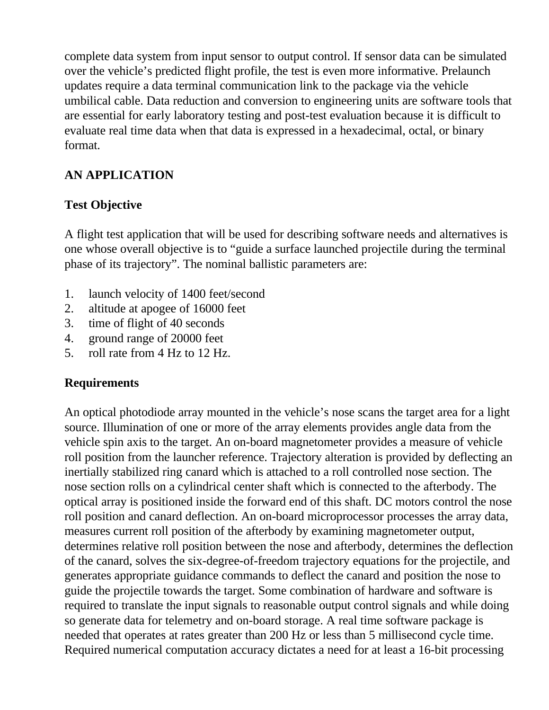complete data system from input sensor to output control. If sensor data can be simulated over the vehicle's predicted flight profile, the test is even more informative. Prelaunch updates require a data terminal communication link to the package via the vehicle umbilical cable. Data reduction and conversion to engineering units are software tools that are essential for early laboratory testing and post-test evaluation because it is difficult to evaluate real time data when that data is expressed in a hexadecimal, octal, or binary format.

### **AN APPLICATION**

## **Test Objective**

A flight test application that will be used for describing software needs and alternatives is one whose overall objective is to "guide a surface launched projectile during the terminal phase of its trajectory". The nominal ballistic parameters are:

- 1. launch velocity of 1400 feet/second
- 2. altitude at apogee of 16000 feet
- 3. time of flight of 40 seconds
- 4. ground range of 20000 feet
- 5. roll rate from 4 Hz to 12 Hz.

### **Requirements**

An optical photodiode array mounted in the vehicle's nose scans the target area for a light source. Illumination of one or more of the array elements provides angle data from the vehicle spin axis to the target. An on-board magnetometer provides a measure of vehicle roll position from the launcher reference. Trajectory alteration is provided by deflecting an inertially stabilized ring canard which is attached to a roll controlled nose section. The nose section rolls on a cylindrical center shaft which is connected to the afterbody. The optical array is positioned inside the forward end of this shaft. DC motors control the nose roll position and canard deflection. An on-board microprocessor processes the array data, measures current roll position of the afterbody by examining magnetometer output, determines relative roll position between the nose and afterbody, determines the deflection of the canard, solves the six-degree-of-freedom trajectory equations for the projectile, and generates appropriate guidance commands to deflect the canard and position the nose to guide the projectile towards the target. Some combination of hardware and software is required to translate the input signals to reasonable output control signals and while doing so generate data for telemetry and on-board storage. A real time software package is needed that operates at rates greater than 200 Hz or less than 5 millisecond cycle time. Required numerical computation accuracy dictates a need for at least a 16-bit processing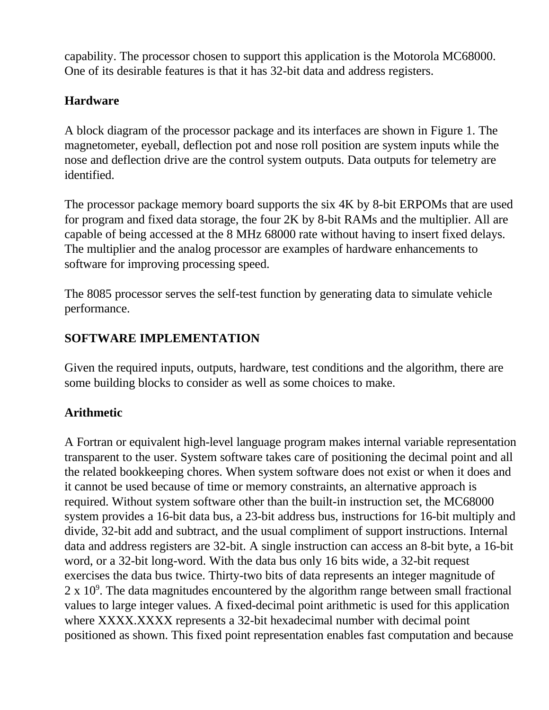capability. The processor chosen to support this application is the Motorola MC68000. One of its desirable features is that it has 32-bit data and address registers.

## **Hardware**

A block diagram of the processor package and its interfaces are shown in Figure 1. The magnetometer, eyeball, deflection pot and nose roll position are system inputs while the nose and deflection drive are the control system outputs. Data outputs for telemetry are identified.

The processor package memory board supports the six 4K by 8-bit ERPOMs that are used for program and fixed data storage, the four 2K by 8-bit RAMs and the multiplier. All are capable of being accessed at the 8 MHz 68000 rate without having to insert fixed delays. The multiplier and the analog processor are examples of hardware enhancements to software for improving processing speed.

The 8085 processor serves the self-test function by generating data to simulate vehicle performance.

### **SOFTWARE IMPLEMENTATION**

Given the required inputs, outputs, hardware, test conditions and the algorithm, there are some building blocks to consider as well as some choices to make.

## **Arithmetic**

A Fortran or equivalent high-level language program makes internal variable representation transparent to the user. System software takes care of positioning the decimal point and all the related bookkeeping chores. When system software does not exist or when it does and it cannot be used because of time or memory constraints, an alternative approach is required. Without system software other than the built-in instruction set, the MC68000 system provides a 16-bit data bus, a 23-bit address bus, instructions for 16-bit multiply and divide, 32-bit add and subtract, and the usual compliment of support instructions. Internal data and address registers are 32-bit. A single instruction can access an 8-bit byte, a 16-bit word, or a 32-bit long-word. With the data bus only 16 bits wide, a 32-bit request exercises the data bus twice. Thirty-two bits of data represents an integer magnitude of  $2 \times 10^9$ . The data magnitudes encountered by the algorithm range between small fractional values to large integer values. A fixed-decimal point arithmetic is used for this application where XXXX.XXXX represents a 32-bit hexadecimal number with decimal point positioned as shown. This fixed point representation enables fast computation and because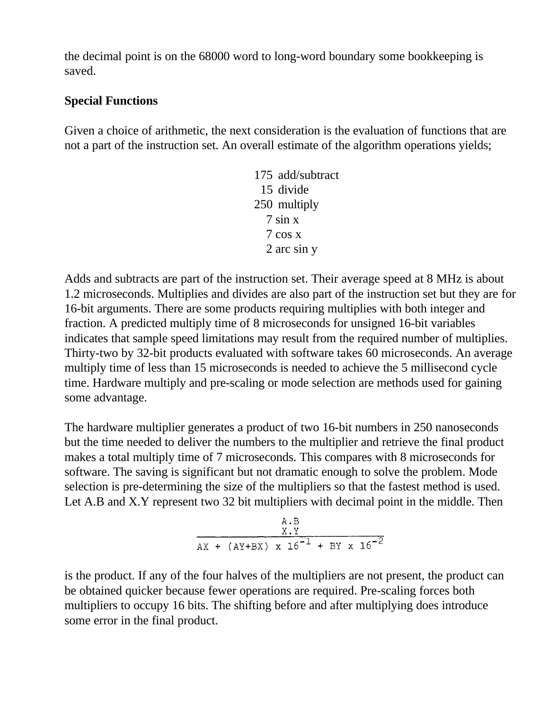the decimal point is on the 68000 word to long-word boundary some bookkeeping is saved.

#### **Special Functions**

Given a choice of arithmetic, the next consideration is the evaluation of functions that are not a part of the instruction set. An overall estimate of the algorithm operations yields;

> 175 add/subtract 15 divide 250 multiply 7 sin x 7 cos x 2 arc sin y

Adds and subtracts are part of the instruction set. Their average speed at 8 MHz is about 1.2 microseconds. Multiplies and divides are also part of the instruction set but they are for 16-bit arguments. There are some products requiring multiplies with both integer and fraction. A predicted multiply time of 8 microseconds for unsigned 16-bit variables indicates that sample speed limitations may result from the required number of multiplies. Thirty-two by 32-bit products evaluated with software takes 60 microseconds. An average multiply time of less than 15 microseconds is needed to achieve the 5 millisecond cycle time. Hardware multiply and pre-scaling or mode selection are methods used for gaining some advantage.

The hardware multiplier generates a product of two 16-bit numbers in 250 nanoseconds but the time needed to deliver the numbers to the multiplier and retrieve the final product makes a total multiply time of 7 microseconds. This compares with 8 microseconds for software. The saving is significant but not dramatic enough to solve the problem. Mode selection is pre-determining the size of the multipliers so that the fastest method is used. Let A.B and X.Y represent two 32 bit multipliers with decimal point in the middle. Then



is the product. If any of the four halves of the multipliers are not present, the product can be obtained quicker because fewer operations are required. Pre-scaling forces both multipliers to occupy 16 bits. The shifting before and after multiplying does introduce some error in the final product.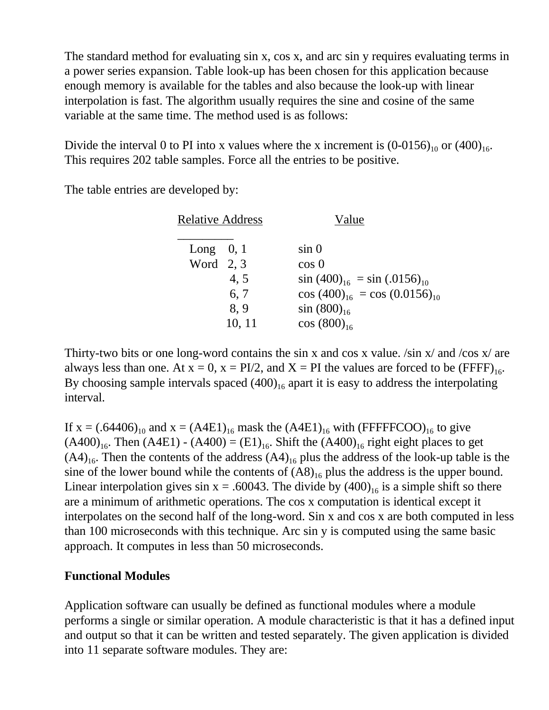The standard method for evaluating sin x, cos x, and arc sin y requires evaluating terms in a power series expansion. Table look-up has been chosen for this application because enough memory is available for the tables and also because the look-up with linear interpolation is fast. The algorithm usually requires the sine and cosine of the same variable at the same time. The method used is as follows:

Divide the interval 0 to PI into x values where the x increment is  $(0-0156)_{10}$  or  $(400)_{16}$ . This requires 202 table samples. Force all the entries to be positive.

The table entries are developed by:

| <b>Relative Address</b> |        | Value                                |
|-------------------------|--------|--------------------------------------|
| Long $0, 1$             |        | sin 0                                |
| Word $2, 3$             |        | $\cos 0$                             |
|                         | 4, 5   | $\sin(400)_{16} = \sin(.0156)_{10}$  |
|                         | 6, 7   | $\cos(400)_{16} = \cos(0.0156)_{10}$ |
|                         | 8,9    | $\sin(800)_{16}$                     |
|                         | 10, 11 | $\cos(800)_{16}$                     |

Thirty-two bits or one long-word contains the sin x and cos x value. /sin x/ and /cos x/ are always less than one. At  $x = 0$ ,  $x = PI/2$ , and  $X = PI$  the values are forced to be (FFFF)<sub>16</sub>. By choosing sample intervals spaced  $(400)_{16}$  apart it is easy to address the interpolating interval.

If  $x = (.64406)_{10}$  and  $x = (A4E1)_{16}$  mask the  $(A4E1)_{16}$  with (FFFFFCOO)<sub>16</sub> to give  $(A400)_{16}$ . Then  $(A4E1) - (A400) = (E1)_{16}$ . Shift the  $(A400)_{16}$  right eight places to get  $(A4)_{16}$ . Then the contents of the address  $(A4)_{16}$  plus the address of the look-up table is the sine of the lower bound while the contents of  $(AB)_{16}$  plus the address is the upper bound. Linear interpolation gives sin  $x = .60043$ . The divide by  $(400)_{16}$  is a simple shift so there are a minimum of arithmetic operations. The cos x computation is identical except it interpolates on the second half of the long-word. Sin x and cos x are both computed in less than 100 microseconds with this technique. Arc sin y is computed using the same basic approach. It computes in less than 50 microseconds.

#### **Functional Modules**

Application software can usually be defined as functional modules where a module performs a single or similar operation. A module characteristic is that it has a defined input and output so that it can be written and tested separately. The given application is divided into 11 separate software modules. They are: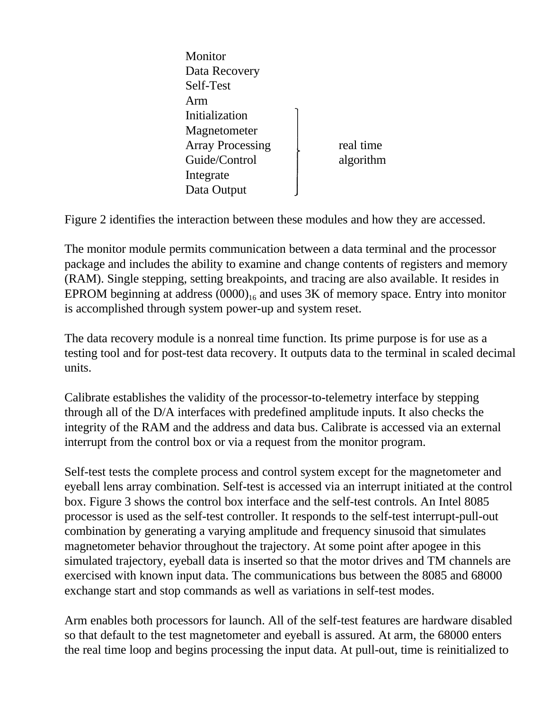**Monitor** Data Recovery Self-Test Arm Initialization Magnetometer Array Processing and real time Guide/Control algorithm Integrate Data Output

Figure 2 identifies the interaction between these modules and how they are accessed.

The monitor module permits communication between a data terminal and the processor package and includes the ability to examine and change contents of registers and memory (RAM). Single stepping, setting breakpoints, and tracing are also available. It resides in EPROM beginning at address  $(0000)_{16}$  and uses 3K of memory space. Entry into monitor is accomplished through system power-up and system reset.

The data recovery module is a nonreal time function. Its prime purpose is for use as a testing tool and for post-test data recovery. It outputs data to the terminal in scaled decimal units.

Calibrate establishes the validity of the processor-to-telemetry interface by stepping through all of the D/A interfaces with predefined amplitude inputs. It also checks the integrity of the RAM and the address and data bus. Calibrate is accessed via an external interrupt from the control box or via a request from the monitor program.

Self-test tests the complete process and control system except for the magnetometer and eyeball lens array combination. Self-test is accessed via an interrupt initiated at the control box. Figure 3 shows the control box interface and the self-test controls. An Intel 8085 processor is used as the self-test controller. It responds to the self-test interrupt-pull-out combination by generating a varying amplitude and frequency sinusoid that simulates magnetometer behavior throughout the trajectory. At some point after apogee in this simulated trajectory, eyeball data is inserted so that the motor drives and TM channels are exercised with known input data. The communications bus between the 8085 and 68000 exchange start and stop commands as well as variations in self-test modes.

Arm enables both processors for launch. All of the self-test features are hardware disabled so that default to the test magnetometer and eyeball is assured. At arm, the 68000 enters the real time loop and begins processing the input data. At pull-out, time is reinitialized to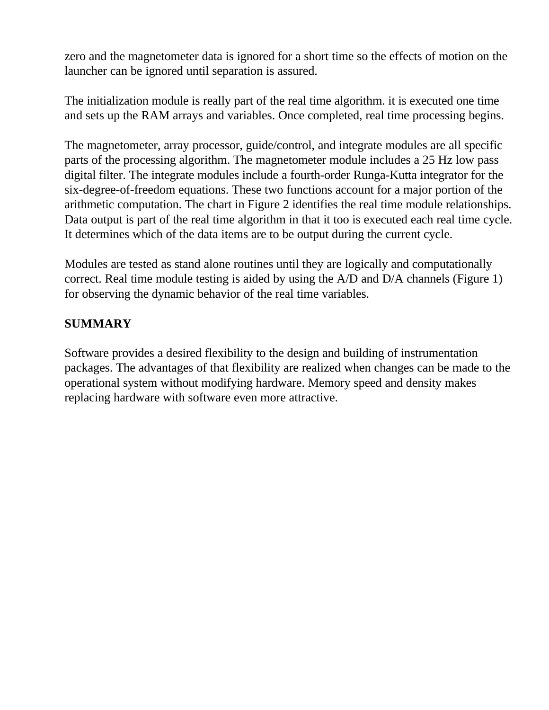zero and the magnetometer data is ignored for a short time so the effects of motion on the launcher can be ignored until separation is assured.

The initialization module is really part of the real time algorithm. it is executed one time and sets up the RAM arrays and variables. Once completed, real time processing begins.

The magnetometer, array processor, guide/control, and integrate modules are all specific parts of the processing algorithm. The magnetometer module includes a 25 Hz low pass digital filter. The integrate modules include a fourth-order Runga-Kutta integrator for the six-degree-of-freedom equations. These two functions account for a major portion of the arithmetic computation. The chart in Figure 2 identifies the real time module relationships. Data output is part of the real time algorithm in that it too is executed each real time cycle. It determines which of the data items are to be output during the current cycle.

Modules are tested as stand alone routines until they are logically and computationally correct. Real time module testing is aided by using the A/D and D/A channels (Figure 1) for observing the dynamic behavior of the real time variables.

### **SUMMARY**

Software provides a desired flexibility to the design and building of instrumentation packages. The advantages of that flexibility are realized when changes can be made to the operational system without modifying hardware. Memory speed and density makes replacing hardware with software even more attractive.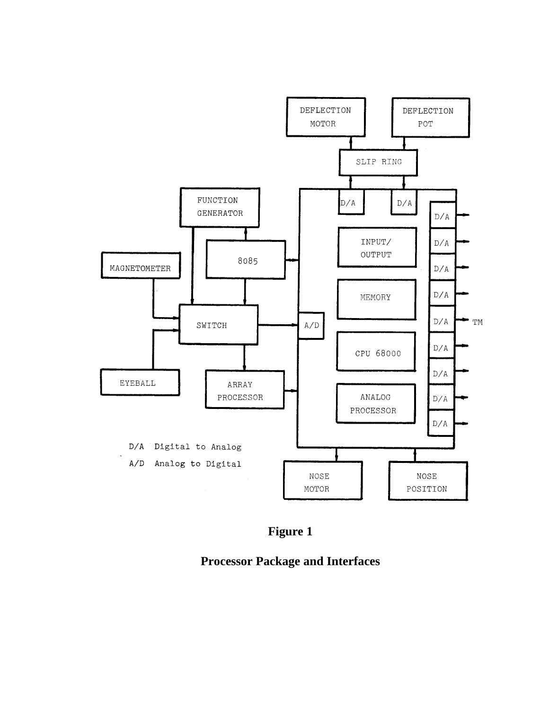



**Processor Package and Interfaces**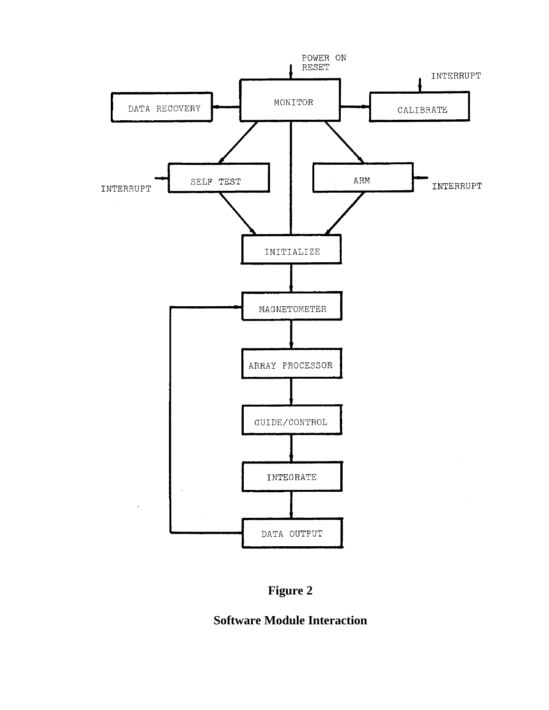



## **Software Module Interaction**